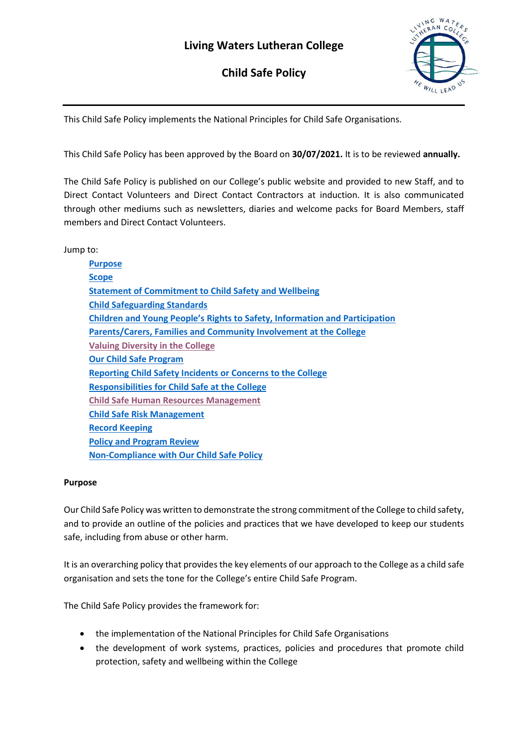# **Living Waters Lutheran College**

**Child Safe Policy** 



This Child Safe Policy implements the National Principles for Child Safe Organisations.

This Child Safe Policy has been approved by the Board on **30/07/2021.** It is to be reviewed **annually.**

The Child Safe Policy is published on our College's public website and provided to new Staff, and to Direct Contact Volunteers and Direct Contact Contractors at induction. It is also communicated through other mediums such as newsletters, diaries and welcome packs for Board Members, staff members and Direct Contact Volunteers.

Jump to:

| <b>Purpose</b>                                                                     |
|------------------------------------------------------------------------------------|
| <b>Scope</b>                                                                       |
| <b>Statement of Commitment to Child Safety and Wellbeing</b>                       |
| <b>Child Safeguarding Standards</b>                                                |
| <b>Children and Young People's Rights to Safety, Information and Participation</b> |
| Parents/Carers, Families and Community Involvement at the College                  |
| <b>Valuing Diversity in the College</b>                                            |
| <b>Our Child Safe Program</b>                                                      |
| <b>Reporting Child Safety Incidents or Concerns to the College</b>                 |
| <b>Responsibilities for Child Safe at the College</b>                              |
| <b>Child Safe Human Resources Management</b>                                       |
| <b>Child Safe Risk Management</b>                                                  |
| <b>Record Keeping</b>                                                              |
| <b>Policy and Program Review</b>                                                   |
| <b>Non-Compliance with Our Child Safe Policy</b>                                   |
|                                                                                    |

# **Purpose**

Our Child Safe Policy was written to demonstrate the strong commitment of the College to child safety, and to provide an outline of the policies and practices that we have developed to keep our students safe, including from abuse or other harm.

It is an overarching policy that provides the key elements of our approach to the College as a child safe organisation and sets the tone for the College's entire Child Safe Program.

The Child Safe Policy provides the framework for:

- the implementation of the National Principles for Child Safe Organisations
- the development of work systems, practices, policies and procedures that promote child protection, safety and wellbeing within the College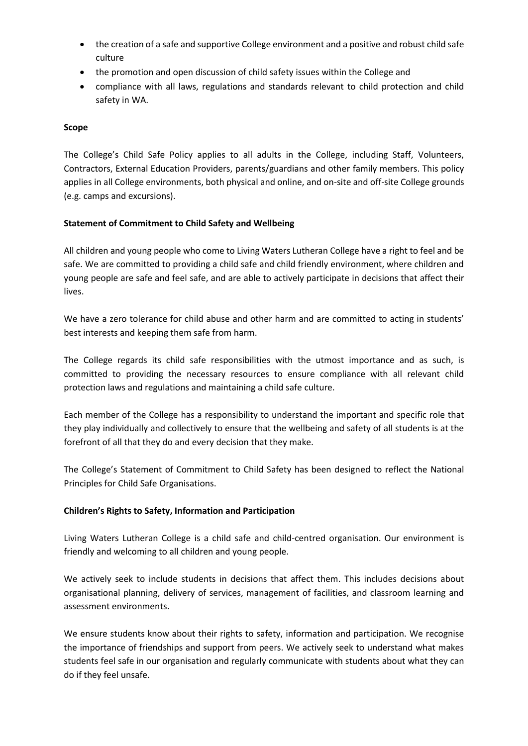- the creation of a safe and supportive College environment and a positive and robust child safe culture
- the promotion and open discussion of child safety issues within the College and
- compliance with all laws, regulations and standards relevant to child protection and child safety in WA.

## <span id="page-1-0"></span>**Scope**

The College's Child Safe Policy applies to all adults in the College, including Staff, Volunteers, Contractors, External Education Providers, parents/guardians and other family members. This policy applies in all College environments, both physical and online, and on-site and off-site College grounds (e.g. camps and excursions).

## <span id="page-1-1"></span>**Statement of Commitment to Child Safety and Wellbeing**

All children and young people who come to Living Waters Lutheran College have a right to feel and be safe. We are committed to providing a child safe and child friendly environment, where children and young people are safe and feel safe, and are able to actively participate in decisions that affect their lives.

We have a zero tolerance for child abuse and other harm and are committed to acting in students' best interests and keeping them safe from harm.

The College regards its child safe responsibilities with the utmost importance and as such, is committed to providing the necessary resources to ensure compliance with all relevant child protection laws and regulations and maintaining a child safe culture.

Each member of the College has a responsibility to understand the important and specific role that they play individually and collectively to ensure that the wellbeing and safety of all students is at the forefront of all that they do and every decision that they make.

The College's Statement of Commitment to Child Safety has been designed to reflect the National Principles for Child Safe Organisations.

#### <span id="page-1-2"></span>**Children's Rights to Safety, Information and Participation**

Living Waters Lutheran College is a child safe and child-centred organisation. Our environment is friendly and welcoming to all children and young people.

We actively seek to include students in decisions that affect them. This includes decisions about organisational planning, delivery of services, management of facilities, and classroom learning and assessment environments.

We ensure students know about their rights to safety, information and participation. We recognise the importance of friendships and support from peers. We actively seek to understand what makes students feel safe in our organisation and regularly communicate with students about what they can do if they feel unsafe.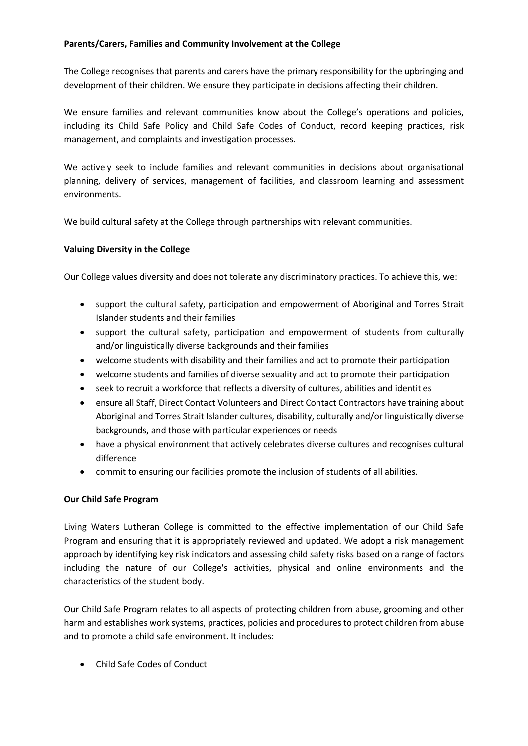# <span id="page-2-0"></span>**Parents/Carers, Families and Community Involvement at the College**

The College recognises that parents and carers have the primary responsibility for the upbringing and development of their children. We ensure they participate in decisions affecting their children.

We ensure families and relevant communities know about the College's operations and policies, including its Child Safe Policy and Child Safe Codes of Conduct, record keeping practices, risk management, and complaints and investigation processes.

We actively seek to include families and relevant communities in decisions about organisational planning, delivery of services, management of facilities, and classroom learning and assessment environments.

We build cultural safety at the College through partnerships with relevant communities.

## <span id="page-2-1"></span>**Valuing Diversity in the College**

Our College values diversity and does not tolerate any discriminatory practices. To achieve this, we:

- support the cultural safety, participation and empowerment of Aboriginal and Torres Strait Islander students and their families
- support the cultural safety, participation and empowerment of students from culturally and/or linguistically diverse backgrounds and their families
- welcome students with disability and their families and act to promote their participation
- welcome students and families of diverse sexuality and act to promote their participation
- seek to recruit a workforce that reflects a diversity of cultures, abilities and identities
- ensure all Staff, Direct Contact Volunteers and Direct Contact Contractors have training about Aboriginal and Torres Strait Islander cultures, disability, culturally and/or linguistically diverse backgrounds, and those with particular experiences or needs
- have a physical environment that actively celebrates diverse cultures and recognises cultural difference
- commit to ensuring our facilities promote the inclusion of students of all abilities.

#### <span id="page-2-2"></span>**Our Child Safe Program**

Living Waters Lutheran College is committed to the effective implementation of our Child Safe Program and ensuring that it is appropriately reviewed and updated. We adopt a risk management approach by identifying key risk indicators and assessing child safety risks based on a range of factors including the nature of our College's activities, physical and online environments and the characteristics of the student body.

Our Child Safe Program relates to all aspects of protecting children from abuse, grooming and other harm and establishes work systems, practices, policies and procedures to protect children from abuse and to promote a child safe environment. It includes:

• Child Safe Codes of Conduct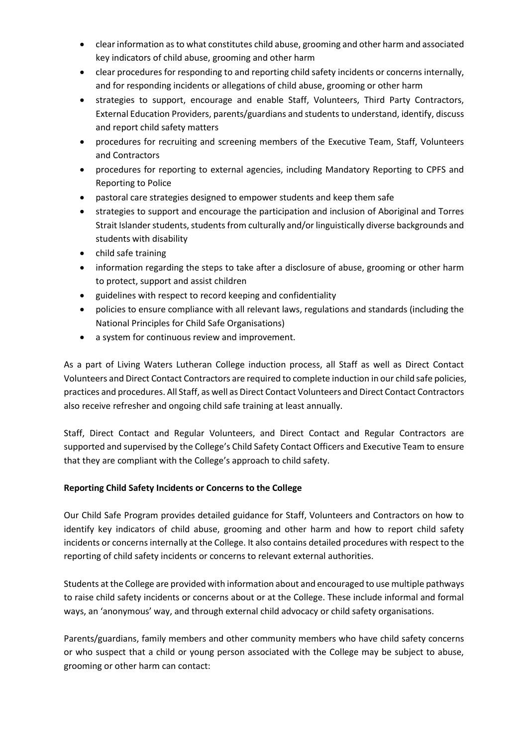- clear information as to what constitutes child abuse, grooming and other harm and associated key indicators of child abuse, grooming and other harm
- clear procedures for responding to and reporting child safety incidents or concerns internally, and for responding incidents or allegations of child abuse, grooming or other harm
- strategies to support, encourage and enable Staff, Volunteers, Third Party Contractors, External Education Providers, parents/guardians and students to understand, identify, discuss and report child safety matters
- procedures for recruiting and screening members of the Executive Team, Staff, Volunteers and Contractors
- procedures for reporting to external agencies, including Mandatory Reporting to CPFS and Reporting to Police
- pastoral care strategies designed to empower students and keep them safe
- strategies to support and encourage the participation and inclusion of Aboriginal and Torres Strait Islander students, students from culturally and/or linguistically diverse backgrounds and students with disability
- child safe training
- information regarding the steps to take after a disclosure of abuse, grooming or other harm to protect, support and assist children
- guidelines with respect to record keeping and confidentiality
- policies to ensure compliance with all relevant laws, regulations and standards (including the National Principles for Child Safe Organisations)
- a system for continuous review and improvement.

As a part of Living Waters Lutheran College induction process, all Staff as well as Direct Contact Volunteers and Direct Contact Contractors are required to complete induction in our child safe policies, practices and procedures. All Staff, as well as Direct Contact Volunteers and Direct Contact Contractors also receive refresher and ongoing child safe training at least annually.

Staff, Direct Contact and Regular Volunteers, and Direct Contact and Regular Contractors are supported and supervised by the College's Child Safety Contact Officers and Executive Team to ensure that they are compliant with the College's approach to child safety.

# <span id="page-3-0"></span>**Reporting Child Safety Incidents or Concerns to the College**

Our Child Safe Program provides detailed guidance for Staff, Volunteers and Contractors on how to identify key indicators of child abuse, grooming and other harm and how to report child safety incidents or concerns internally at the College. It also contains detailed procedures with respect to the reporting of child safety incidents or concerns to relevant external authorities.

Students at the College are provided with information about and encouraged to use multiple pathways to raise child safety incidents or concerns about or at the College. These include informal and formal ways, an 'anonymous' way, and through external child advocacy or child safety organisations.

Parents/guardians, family members and other community members who have child safety concerns or who suspect that a child or young person associated with the College may be subject to abuse, grooming or other harm can contact: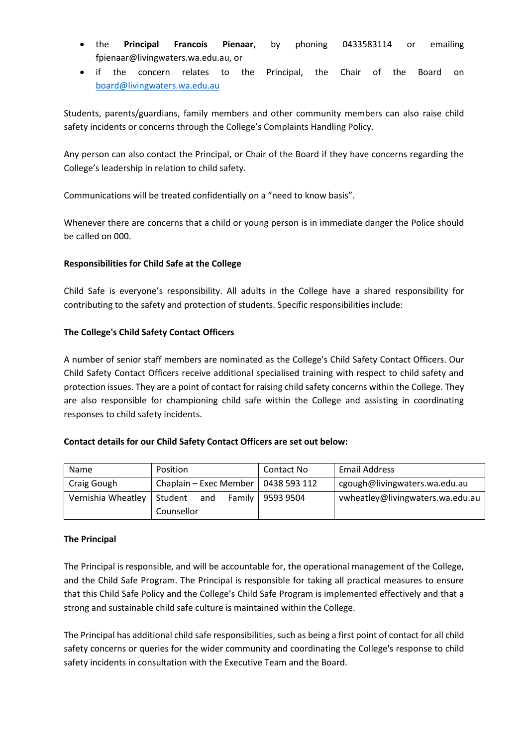- the **Principal Francois Pienaar**, by phoning 0433583114 or emailing fpienaar@livingwaters.wa.edu.au, or
- if the concern relates to the Principal, the Chair of the Board on [board@livingwaters.wa.edu.au](mailto:board@livingwaters.wa.edu.au)

Students, parents/guardians, family members and other community members can also raise child safety incidents or concerns through the College's Complaints Handling Policy.

Any person can also contact the Principal, or Chair of the Board if they have concerns regarding the College's leadership in relation to child safety.

Communications will be treated confidentially on a "need to know basis".

Whenever there are concerns that a child or young person is in immediate danger the Police should be called on 000.

# **Responsibilities for Child Safe at the College**

Child Safe is everyone's responsibility. All adults in the College have a shared responsibility for contributing to the safety and protection of students. Specific responsibilities include:

# <span id="page-4-0"></span>**The College's Child Safety Contact Officers**

A number of senior staff members are nominated as the College's Child Safety Contact Officers. Our Child Safety Contact Officers receive additional specialised training with respect to child safety and protection issues. They are a point of contact for raising child safety concerns within the College. They are also responsible for championing child safe within the College and assisting in coordinating responses to child safety incidents.

# **Contact details for our Child Safety Contact Officers are set out below:**

| Name               | Position               |  | Contact No         | <b>Email Address</b>             |
|--------------------|------------------------|--|--------------------|----------------------------------|
| Craig Gough        | Chaplain - Exec Member |  | 0438 593 112       | cgough@livingwaters.wa.edu.au    |
| Vernishia Wheatley | and<br>Student         |  | Family   9593 9504 | vwheatley@livingwaters.wa.edu.au |
|                    | Counsellor             |  |                    |                                  |

# **The Principal**

The Principal is responsible, and will be accountable for, the operational management of the College, and the Child Safe Program. The Principal is responsible for taking all practical measures to ensure that this Child Safe Policy and the College's Child Safe Program is implemented effectively and that a strong and sustainable child safe culture is maintained within the College.

The Principal has additional child safe responsibilities, such as being a first point of contact for all child safety concerns or queries for the wider community and coordinating the College's response to child safety incidents in consultation with the Executive Team and the Board.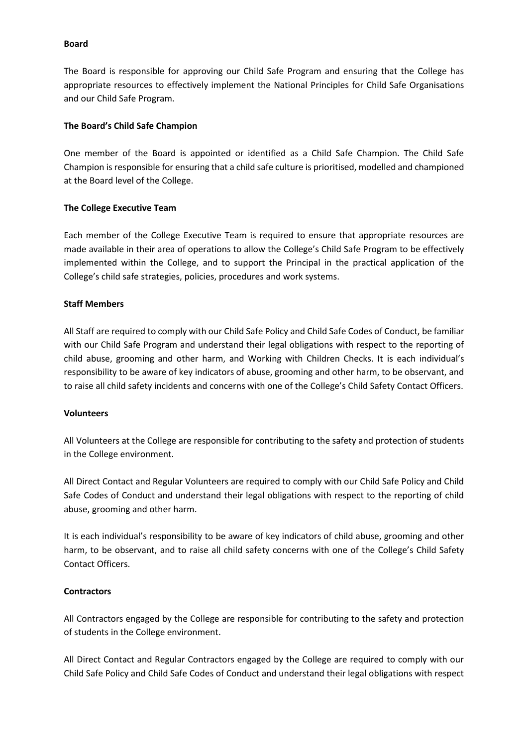#### **Board**

The Board is responsible for approving our Child Safe Program and ensuring that the College has appropriate resources to effectively implement the National Principles for Child Safe Organisations and our Child Safe Program.

## **The Board's Child Safe Champion**

One member of the Board is appointed or identified as a Child Safe Champion. The Child Safe Champion is responsible for ensuring that a child safe culture is prioritised, modelled and championed at the Board level of the College.

## **The College Executive Team**

Each member of the College Executive Team is required to ensure that appropriate resources are made available in their area of operations to allow the College's Child Safe Program to be effectively implemented within the College, and to support the Principal in the practical application of the College's child safe strategies, policies, procedures and work systems.

## **Staff Members**

All Staff are required to comply with our Child Safe Policy and Child Safe Codes of Conduct, be familiar with our Child Safe Program and understand their legal obligations with respect to the reporting of child abuse, grooming and other harm, and Working with Children Checks. It is each individual's responsibility to be aware of key indicators of abuse, grooming and other harm, to be observant, and to raise all child safety incidents and concerns with one of the College's Child Safety Contact Officers.

#### **Volunteers**

All Volunteers at the College are responsible for contributing to the safety and protection of students in the College environment.

All Direct Contact and Regular Volunteers are required to comply with our Child Safe Policy and Child Safe Codes of Conduct and understand their legal obligations with respect to the reporting of child abuse, grooming and other harm.

It is each individual's responsibility to be aware of key indicators of child abuse, grooming and other harm, to be observant, and to raise all child safety concerns with one of the College's Child Safety Contact Officers.

#### **Contractors**

All Contractors engaged by the College are responsible for contributing to the safety and protection of students in the College environment.

All Direct Contact and Regular Contractors engaged by the College are required to comply with our Child Safe Policy and Child Safe Codes of Conduct and understand their legal obligations with respect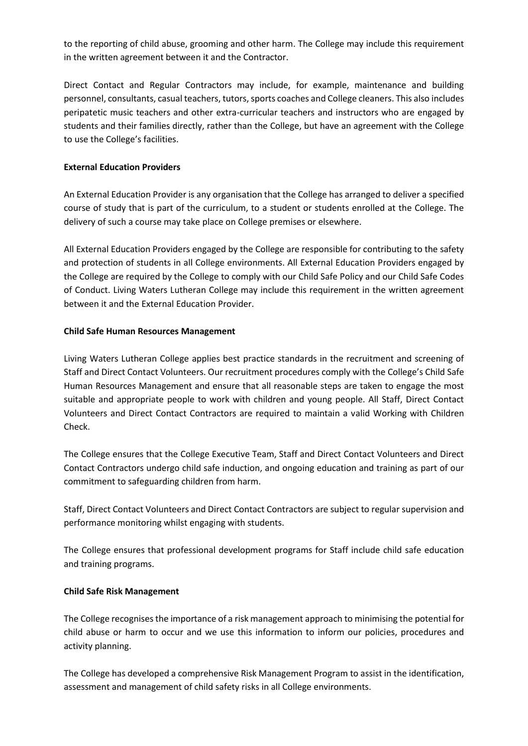to the reporting of child abuse, grooming and other harm. The College may include this requirement in the written agreement between it and the Contractor.

Direct Contact and Regular Contractors may include, for example, maintenance and building personnel, consultants, casual teachers, tutors, sports coaches and College cleaners. This also includes peripatetic music teachers and other extra-curricular teachers and instructors who are engaged by students and their families directly, rather than the College, but have an agreement with the College to use the College's facilities.

## **External Education Providers**

An External Education Provider is any organisation that the College has arranged to deliver a specified course of study that is part of the curriculum, to a student or students enrolled at the College. The delivery of such a course may take place on College premises or elsewhere.

All External Education Providers engaged by the College are responsible for contributing to the safety and protection of students in all College environments. All External Education Providers engaged by the College are required by the College to comply with our Child Safe Policy and our Child Safe Codes of Conduct. Living Waters Lutheran College may include this requirement in the written agreement between it and the External Education Provider.

## <span id="page-6-0"></span>**Child Safe Human Resources Management**

Living Waters Lutheran College applies best practice standards in the recruitment and screening of Staff and Direct Contact Volunteers. Our recruitment procedures comply with the College's Child Safe Human Resources Management and ensure that all reasonable steps are taken to engage the most suitable and appropriate people to work with children and young people. All Staff, Direct Contact Volunteers and Direct Contact Contractors are required to maintain a valid Working with Children Check.

The College ensures that the College Executive Team, Staff and Direct Contact Volunteers and Direct Contact Contractors undergo child safe induction, and ongoing education and training as part of our commitment to safeguarding children from harm.

Staff, Direct Contact Volunteers and Direct Contact Contractors are subject to regular supervision and performance monitoring whilst engaging with students.

The College ensures that professional development programs for Staff include child safe education and training programs.

# <span id="page-6-1"></span>**Child Safe Risk Management**

The College recognises the importance of a risk management approach to minimising the potential for child abuse or harm to occur and we use this information to inform our policies, procedures and activity planning.

The College has developed a comprehensive Risk Management Program to assist in the identification, assessment and management of child safety risks in all College environments.